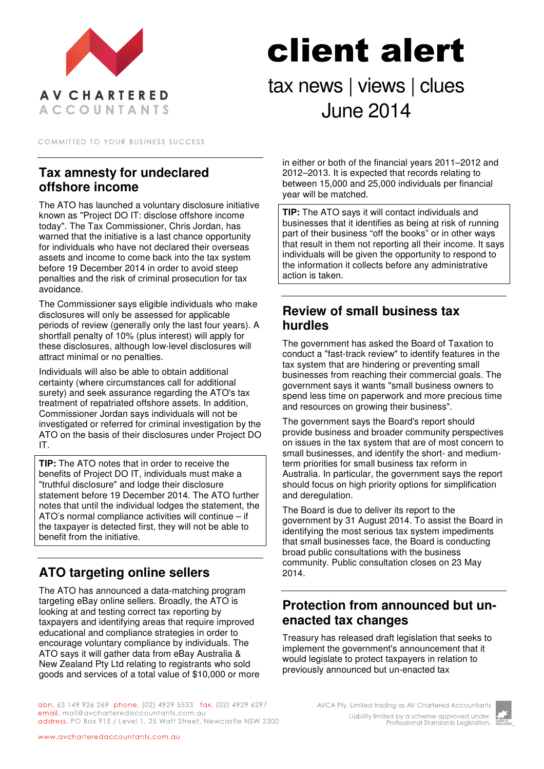

# client alert tax news | views | clues June 2014

COMMITTED TO YOUR BUSINESS SUCCESS

#### **Tax amnesty for undeclared offshore income**

The ATO has launched a voluntary disclosure initiative known as "Project DO IT: disclose offshore income today". The Tax Commissioner, Chris Jordan, has warned that the initiative is a last chance opportunity for individuals who have not declared their overseas assets and income to come back into the tax system before 19 December 2014 in order to avoid steep penalties and the risk of criminal prosecution for tax avoidance.

The Commissioner says eligible individuals who make disclosures will only be assessed for applicable periods of review (generally only the last four years). A shortfall penalty of 10% (plus interest) will apply for these disclosures, although low-level disclosures will attract minimal or no penalties.

Individuals will also be able to obtain additional certainty (where circumstances call for additional surety) and seek assurance regarding the ATO's tax treatment of repatriated offshore assets. In addition, Commissioner Jordan says individuals will not be investigated or referred for criminal investigation by the ATO on the basis of their disclosures under Project DO IT.

**TIP:** The ATO notes that in order to receive the benefits of Project DO IT, individuals must make a "truthful disclosure" and lodge their disclosure statement before 19 December 2014. The ATO further notes that until the individual lodges the statement, the ATO's normal compliance activities will continue – if the taxpayer is detected first, they will not be able to benefit from the initiative.

# **ATO targeting online sellers**

The ATO has announced a data-matching program targeting eBay online sellers. Broadly, the ATO is looking at and testing correct tax reporting by taxpayers and identifying areas that require improved educational and compliance strategies in order to encourage voluntary compliance by individuals. The ATO says it will gather data from eBay Australia & New Zealand Pty Ltd relating to registrants who sold goods and services of a total value of \$10,000 or more in either or both of the financial years 2011–2012 and 2012–2013. It is expected that records relating to between 15,000 and 25,000 individuals per financial year will be matched.

**TIP:** The ATO says it will contact individuals and businesses that it identifies as being at risk of running part of their business "off the books" or in other ways that result in them not reporting all their income. It says individuals will be given the opportunity to respond to the information it collects before any administrative action is taken.

#### **Review of small business tax hurdles**

The government has asked the Board of Taxation to conduct a "fast-track review" to identify features in the tax system that are hindering or preventing small businesses from reaching their commercial goals. The government says it wants "small business owners to spend less time on paperwork and more precious time and resources on growing their business".

The government says the Board's report should provide business and broader community perspectives on issues in the tax system that are of most concern to small businesses, and identify the short- and mediumterm priorities for small business tax reform in Australia. In particular, the government says the report should focus on high priority options for simplification and deregulation.

The Board is due to deliver its report to the government by 31 August 2014. To assist the Board in identifying the most serious tax system impediments that small businesses face, the Board is conducting broad public consultations with the business community. Public consultation closes on 23 May 2014.

### **Protection from announced but unenacted tax changes**

Treasury has released draft legislation that seeks to implement the government's announcement that it would legislate to protect taxpayers in relation to previously announced but un-enacted tax

abn. 63 149 926 269 phone. (02) 4929 5533 fax. (02) 4929 6297 email. mail@avcharteredaccountants.com.au address. PO Box 915 / Level 1, 25 Watt Street, Newcastle NSW 2300